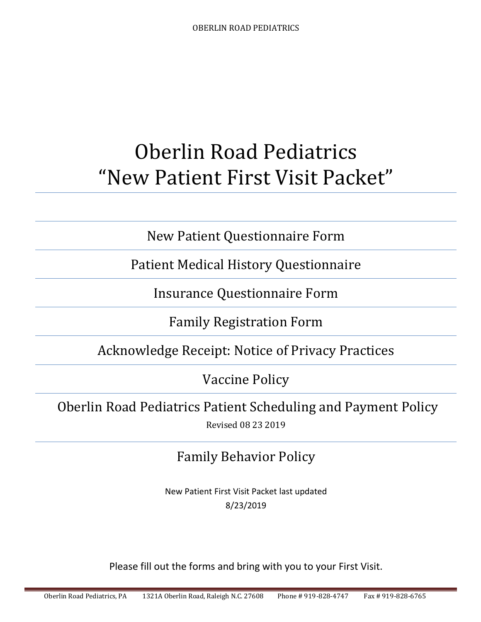# Oberlin Road Pediatrics "New Patient First Visit Packet"

New Patient Questionnaire Form

Patient Medical History Questionnaire

Insurance Questionnaire Form

Family Registration Form

Acknowledge Receipt: Notice of Privacy Practices

Vaccine Policy

Oberlin Road Pediatrics Patient Scheduling and Payment Policy Revised 08 23 2019

## Family Behavior Policy

New Patient First Visit Packet last updated 8/23/2019

Please fill out the forms and bring with you to your First Visit.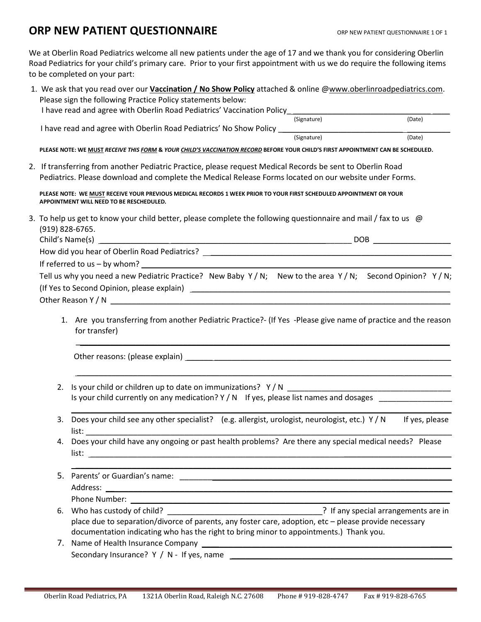### **ORP NEW PATIENT QUESTIONNAIRE** ORP NEW PATIENT QUESTIONNAIRE 1 OF 1

We at Oberlin Road Pediatrics welcome all new patients under the age of 17 and we thank you for considering Oberlin Road Pediatrics for your child's primary care. Prior to your first appointment with us we do require the following items to be completed on your part:

|  |                                                                                                                                 | 1. We ask that you read over our <b>Vaccination / No Show Policy</b> attached & online @www.oberlinroadpediatrics.com.                                                                                                         |             |                |  |  |  |
|--|---------------------------------------------------------------------------------------------------------------------------------|--------------------------------------------------------------------------------------------------------------------------------------------------------------------------------------------------------------------------------|-------------|----------------|--|--|--|
|  |                                                                                                                                 | Please sign the following Practice Policy statements below:                                                                                                                                                                    |             |                |  |  |  |
|  |                                                                                                                                 | I have read and agree with Oberlin Road Pediatrics' Vaccination Policy_________                                                                                                                                                |             |                |  |  |  |
|  |                                                                                                                                 |                                                                                                                                                                                                                                | (Signature) | (Date)         |  |  |  |
|  |                                                                                                                                 | I have read and agree with Oberlin Road Pediatrics' No Show Policy __________                                                                                                                                                  |             | (Date)         |  |  |  |
|  |                                                                                                                                 |                                                                                                                                                                                                                                |             |                |  |  |  |
|  |                                                                                                                                 | PLEASE NOTE: WE MUST RECEIVE THIS FORM & YOUR CHILD'S VACCINATION RECORD BEFORE YOUR CHILD'S FIRST APPOINTMENT CAN BE SCHEDULED.                                                                                               |             |                |  |  |  |
|  |                                                                                                                                 | 2. If transferring from another Pediatric Practice, please request Medical Records be sent to Oberlin Road                                                                                                                     |             |                |  |  |  |
|  |                                                                                                                                 | Pediatrics. Please download and complete the Medical Release Forms located on our website under Forms.                                                                                                                         |             |                |  |  |  |
|  |                                                                                                                                 | PLEASE NOTE: WE MUST RECEIVE YOUR PREVIOUS MEDICAL RECORDS 1 WEEK PRIOR TO YOUR FIRST SCHEDULED APPOINTMENT OR YOUR<br>APPOINTMENT WILL NEED TO BE RESCHEDULED.                                                                |             |                |  |  |  |
|  |                                                                                                                                 | 3. To help us get to know your child better, please complete the following questionnaire and mail / fax to us $\omega$<br>(919) 828-6765.                                                                                      |             |                |  |  |  |
|  |                                                                                                                                 |                                                                                                                                                                                                                                |             |                |  |  |  |
|  |                                                                                                                                 | How did you hear of Oberlin Road Pediatrics? [19] [2010] [2010] [2010] [2010] [2010] [2010] [2010] [2010] [2010] [2010] [2010] [2010] [2010] [2010] [2010] [2010] [2010] [2010] [2010] [2010] [2010] [2010] [2010] [2010] [201 |             |                |  |  |  |
|  |                                                                                                                                 |                                                                                                                                                                                                                                |             |                |  |  |  |
|  |                                                                                                                                 | Tell us why you need a new Pediatric Practice? New Baby $Y/N$ ; New to the area $Y/N$ ; Second Opinion? $Y/N$ ;                                                                                                                |             |                |  |  |  |
|  |                                                                                                                                 |                                                                                                                                                                                                                                |             |                |  |  |  |
|  |                                                                                                                                 |                                                                                                                                                                                                                                |             |                |  |  |  |
|  |                                                                                                                                 |                                                                                                                                                                                                                                |             |                |  |  |  |
|  | 1. Are you transferring from another Pediatric Practice?- (If Yes -Please give name of practice and the reason<br>for transfer) |                                                                                                                                                                                                                                |             |                |  |  |  |
|  |                                                                                                                                 |                                                                                                                                                                                                                                |             |                |  |  |  |
|  | 2.                                                                                                                              |                                                                                                                                                                                                                                |             |                |  |  |  |
|  |                                                                                                                                 | Is your child currently on any medication? Y / N If yes, please list names and dosages                                                                                                                                         |             |                |  |  |  |
|  |                                                                                                                                 |                                                                                                                                                                                                                                |             |                |  |  |  |
|  | 3.                                                                                                                              | Does your child see any other specialist? (e.g. allergist, urologist, neurologist, etc.) Y / N                                                                                                                                 |             | If yes, please |  |  |  |
|  |                                                                                                                                 | 4. Does your child have any ongoing or past health problems? Are there any special medical needs? Please                                                                                                                       |             |                |  |  |  |
|  |                                                                                                                                 |                                                                                                                                                                                                                                |             |                |  |  |  |
|  |                                                                                                                                 |                                                                                                                                                                                                                                |             |                |  |  |  |
|  |                                                                                                                                 |                                                                                                                                                                                                                                |             |                |  |  |  |
|  |                                                                                                                                 |                                                                                                                                                                                                                                |             |                |  |  |  |
|  |                                                                                                                                 |                                                                                                                                                                                                                                |             |                |  |  |  |
|  |                                                                                                                                 |                                                                                                                                                                                                                                |             |                |  |  |  |
|  |                                                                                                                                 | place due to separation/divorce of parents, any foster care, adoption, etc - please provide necessary                                                                                                                          |             |                |  |  |  |
|  |                                                                                                                                 | documentation indicating who has the right to bring minor to appointments.) Thank you.                                                                                                                                         |             |                |  |  |  |
|  |                                                                                                                                 |                                                                                                                                                                                                                                |             |                |  |  |  |
|  |                                                                                                                                 |                                                                                                                                                                                                                                |             |                |  |  |  |
|  |                                                                                                                                 |                                                                                                                                                                                                                                |             |                |  |  |  |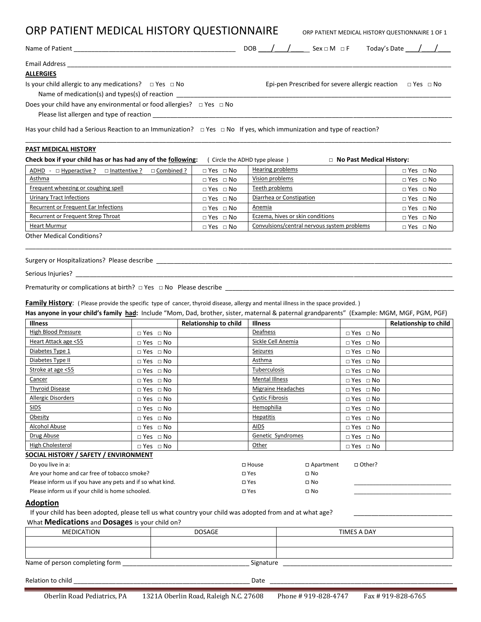| ORP PATIENT MEDICAL HISTORY QUESTIONNAIRE                                                                                                                                                                                                                                             |                                                               |                              |                                                                                                                                          | ORP PATIENT MEDICAL HISTORY QUESTIONNAIRE 1 OF 1                     |                       |
|---------------------------------------------------------------------------------------------------------------------------------------------------------------------------------------------------------------------------------------------------------------------------------------|---------------------------------------------------------------|------------------------------|------------------------------------------------------------------------------------------------------------------------------------------|----------------------------------------------------------------------|-----------------------|
|                                                                                                                                                                                                                                                                                       |                                                               |                              | $DOB$ $\left(\begin{array}{c c} & \end{array}\right)$ Sex $\Box M$ $\Box F$ Today's Date $\left(\begin{array}{c c} & \end{array}\right)$ |                                                                      |                       |
|                                                                                                                                                                                                                                                                                       |                                                               |                              |                                                                                                                                          |                                                                      |                       |
| <b>ALLERGIES</b>                                                                                                                                                                                                                                                                      |                                                               |                              |                                                                                                                                          |                                                                      |                       |
| Is your child allergic to any medications? $\Box$ Yes $\Box$ No                                                                                                                                                                                                                       |                                                               |                              |                                                                                                                                          | Epi-pen Prescribed for severe allergic reaction $\Box$ Yes $\Box$ No |                       |
|                                                                                                                                                                                                                                                                                       | Name of medication(s) and types(s) of reaction ______________ |                              |                                                                                                                                          |                                                                      |                       |
| Does your child have any environmental or food allergies? $\Box$ Yes $\Box$ No                                                                                                                                                                                                        |                                                               |                              |                                                                                                                                          |                                                                      |                       |
| Has your child had a Serious Reaction to an Immunization? $\Box$ Yes $\Box$ No If yes, which immunization and type of reaction?                                                                                                                                                       |                                                               |                              |                                                                                                                                          |                                                                      |                       |
| <b>PAST MEDICAL HISTORY</b>                                                                                                                                                                                                                                                           |                                                               |                              |                                                                                                                                          |                                                                      |                       |
| Check box if your child has or has had any of the following:                                                                                                                                                                                                                          |                                                               |                              | (Circle the ADHD type please)                                                                                                            | □ No Past Medical History:                                           |                       |
|                                                                                                                                                                                                                                                                                       | ADHD - □ Hyperactive ? □ Inattentive ? □ Combined ?           | $\Box$ Yes $\Box$ No         | Hearing problems                                                                                                                         |                                                                      | $\Box$ Yes $\Box$ No  |
| Asthma                                                                                                                                                                                                                                                                                |                                                               | $\Box$ Yes $\Box$ No         | Vision problems                                                                                                                          |                                                                      | $\Box$ Yes $\Box$ No  |
| Frequent wheezing or coughing spell                                                                                                                                                                                                                                                   |                                                               | $\Box$ Yes $\Box$ No         | Teeth problems                                                                                                                           |                                                                      | $\Box$ Yes $\Box$ No  |
| <b>Urinary Tract Infections</b>                                                                                                                                                                                                                                                       |                                                               | $\Box$ Yes $\Box$ No         | Diarrhea or Constipation                                                                                                                 |                                                                      | $\Box$ Yes $\Box$ No  |
| Recurrent or Frequent Ear Infections                                                                                                                                                                                                                                                  |                                                               | $\Box$ Yes $\Box$ No         | Anemia                                                                                                                                   |                                                                      | $\Box$ Yes $\Box$ No  |
| Recurrent or Frequent Strep Throat                                                                                                                                                                                                                                                    |                                                               | $\Box$ Yes $\Box$ No         | Eczema, hives or skin conditions                                                                                                         |                                                                      | $\Box$ Yes $\Box$ No  |
| <b>Heart Murmur</b>                                                                                                                                                                                                                                                                   |                                                               | $\Box$ Yes $\Box$ No         | Convulsions/central nervous system problems                                                                                              |                                                                      | $\Box$ Yes $\Box$ No  |
| Prematurity or complications at birth? $\Box$ Yes $\Box$ No Please describe                                                                                                                                                                                                           |                                                               |                              |                                                                                                                                          |                                                                      |                       |
| <b>Family History:</b> (Please provide the specific type of cancer, thyroid disease, allergy and mental illness in the space provided.)<br>Has anyone in your child's family had: Include "Mom, Dad, brother, sister, maternal & paternal grandparents" (Example: MGM, MGF, PGM, PGF) |                                                               |                              |                                                                                                                                          |                                                                      |                       |
| <b>Illness</b>                                                                                                                                                                                                                                                                        |                                                               | <b>Relationship to child</b> | <b>Illness</b>                                                                                                                           |                                                                      | Relationship to child |
| High Blood Pressure                                                                                                                                                                                                                                                                   | $\Box$ Yes $\Box$ No                                          |                              | Deafness                                                                                                                                 | $\Box$ Yes $\Box$ No                                                 |                       |
| Heart Attack age <55                                                                                                                                                                                                                                                                  | $\Box$ Yes $\Box$ No                                          |                              | Sickle Cell Anemia                                                                                                                       | $\Box$ Yes $\Box$ No                                                 |                       |
| Diabetes Type 1                                                                                                                                                                                                                                                                       | $\Box$ Yes $\Box$ No                                          |                              | Seizures                                                                                                                                 | $\Box$ Yes $\Box$ No                                                 |                       |
| Diabetes Type II                                                                                                                                                                                                                                                                      | $\Box$ Yes $\Box$ No                                          |                              | Asthma                                                                                                                                   | $\Box$ Yes $\Box$ No                                                 |                       |
| Stroke at age <55                                                                                                                                                                                                                                                                     | $\Box$ Yes $\Box$ No                                          |                              | Tuberculosis                                                                                                                             | $\Box$ Yes $\Box$ No                                                 |                       |
| Cancer                                                                                                                                                                                                                                                                                | $\Box$ Yes $\Box$ No                                          |                              | <b>Mental Illness</b>                                                                                                                    | $\Box$ Yes $\Box$ No                                                 |                       |
| <b>Thyroid Disease</b>                                                                                                                                                                                                                                                                | $\Box$ Yes $\Box$ No                                          |                              | <b>Migraine Headaches</b>                                                                                                                | $\Box$ Yes $\Box$ No                                                 |                       |
| <b>Allergic Disorders</b>                                                                                                                                                                                                                                                             | $\Box$ Yes $\Box$ No                                          |                              | <b>Cystic Fibrosis</b>                                                                                                                   | $\Box$ Yes $\Box$ No                                                 |                       |
| <b>SIDS</b>                                                                                                                                                                                                                                                                           | $\Box$ Yes $\Box$ No                                          |                              | Hemophilia                                                                                                                               | $\Box$ Yes $\Box$ No                                                 |                       |
| Obesity                                                                                                                                                                                                                                                                               | $\Box$ Yes $\Box$ No                                          |                              | <b>Hepatitis</b>                                                                                                                         | $\Box$ Yes $\Box$ No                                                 |                       |
| Alcohol Abuse                                                                                                                                                                                                                                                                         | $\Box$ Yes $\Box$ No                                          |                              | AIDS                                                                                                                                     | $\Box$ Yes $\Box$ No                                                 |                       |
| Drug Abuse                                                                                                                                                                                                                                                                            | $\Box$ Yes $\Box$ No                                          |                              | Genetic Syndromes                                                                                                                        | $\Box$ Yes $\Box$ No                                                 |                       |
| High Cholesterol                                                                                                                                                                                                                                                                      | $\Box$ Yes $\Box$ No                                          |                              | Other                                                                                                                                    | $\Box$ Yes $\Box$ No                                                 |                       |

#### **SOCIAL HISTORY / SAFETY / ENVIRONMENT**

| Do you live in a:                                          | $\Box$ House | □ Apartment | □ Other? |
|------------------------------------------------------------|--------------|-------------|----------|
| Are your home and car free of tobacco smoke?               | $\Box$ Yes   | $\Box$ No   |          |
| Please inform us if you have any pets and if so what kind. | $\Box$ Yes   | □ No        |          |
| Please inform us if your child is home schooled.           | $\Box$ Yes   | □ No        |          |

#### **Adoption**

If your child has been adopted, please tell us what country your child was adopted from and at what age?

#### What **Medications** and **Dosages** is your child on?

| MEDICATION                     | <b>DOSAGE</b> | TIMES A DAY |
|--------------------------------|---------------|-------------|
|                                |               |             |
|                                |               |             |
| Name of person completing form | Signature     |             |

Relation to child \_\_\_\_\_\_\_\_\_\_\_\_\_\_\_\_\_\_\_\_\_\_\_\_\_\_\_\_\_\_\_\_\_\_\_\_\_\_\_\_\_\_\_\_\_\_\_\_\_\_ Date \_\_\_\_\_\_\_\_\_\_\_\_\_\_\_\_\_\_\_\_\_\_\_\_\_\_\_\_\_\_\_\_\_\_\_\_\_\_\_\_\_\_\_\_\_\_\_\_\_\_\_\_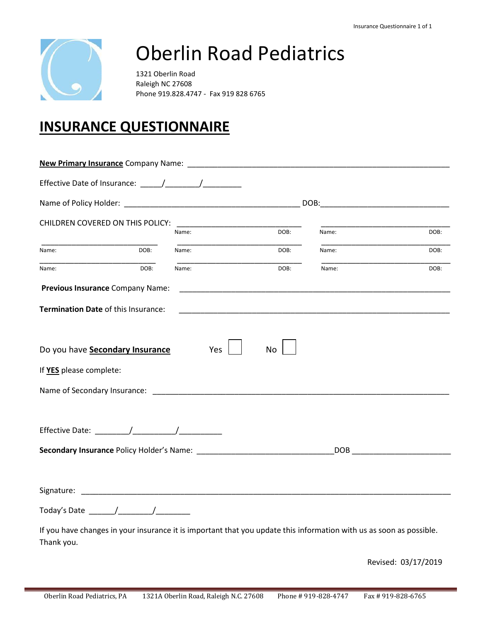

# Oberlin Road Pediatrics

1321 Oberlin Road Raleigh NC 27608 Phone 919.828.4747 - Fax 919 828 6765

## **INSURANCE QUESTIONNAIRE**

|                         | CHILDREN COVERED ON THIS POLICY:                                                         |       |                                                                                                                                                                                                                                |                                                                                                                     |                                                                                                                                                                                                                                |
|-------------------------|------------------------------------------------------------------------------------------|-------|--------------------------------------------------------------------------------------------------------------------------------------------------------------------------------------------------------------------------------|---------------------------------------------------------------------------------------------------------------------|--------------------------------------------------------------------------------------------------------------------------------------------------------------------------------------------------------------------------------|
|                         |                                                                                          | Name: | DOB:                                                                                                                                                                                                                           | Name:                                                                                                               | DOB:                                                                                                                                                                                                                           |
| Name:                   | DOB:                                                                                     | Name: | DOB:                                                                                                                                                                                                                           | Name:                                                                                                               | DOB:                                                                                                                                                                                                                           |
| Name:                   | DOB:                                                                                     | Name: | DOB:                                                                                                                                                                                                                           | Name:                                                                                                               | DOB:                                                                                                                                                                                                                           |
|                         | Previous Insurance Company Name:                                                         |       | <u> 1989 - Johann John Stone, market fan it ferskearre fan it ferskearre fan it ferskearre fan it ferskearre fan</u>                                                                                                           |                                                                                                                     |                                                                                                                                                                                                                                |
|                         | Termination Date of this Insurance:                                                      |       |                                                                                                                                                                                                                                |                                                                                                                     |                                                                                                                                                                                                                                |
|                         |                                                                                          |       |                                                                                                                                                                                                                                |                                                                                                                     |                                                                                                                                                                                                                                |
|                         | Do you have <b>Secondary Insurance</b>                                                   | Yes   | <b>No</b>                                                                                                                                                                                                                      |                                                                                                                     |                                                                                                                                                                                                                                |
| If YES please complete: |                                                                                          |       |                                                                                                                                                                                                                                |                                                                                                                     |                                                                                                                                                                                                                                |
|                         |                                                                                          |       | Name of Secondary Insurance: Lawrence and Contract and Contract and Contract and Contract and Contract and Contract and Contract and Contract and Contract and Contract and Contract and Contract and Contract and Contract an |                                                                                                                     |                                                                                                                                                                                                                                |
|                         |                                                                                          |       |                                                                                                                                                                                                                                |                                                                                                                     |                                                                                                                                                                                                                                |
|                         |                                                                                          |       |                                                                                                                                                                                                                                |                                                                                                                     |                                                                                                                                                                                                                                |
|                         |                                                                                          |       |                                                                                                                                                                                                                                |                                                                                                                     | DOB and the contract of the contract of the contract of the contract of the contract of the contract of the contract of the contract of the contract of the contract of the contract of the contract of the contract of the co |
|                         |                                                                                          |       |                                                                                                                                                                                                                                |                                                                                                                     |                                                                                                                                                                                                                                |
|                         |                                                                                          |       |                                                                                                                                                                                                                                |                                                                                                                     |                                                                                                                                                                                                                                |
|                         | Today's Date $\frac{1}{\sqrt{1-\frac{1}{2}}}\left[\frac{1}{\sqrt{1-\frac{1}{2}}}\right]$ |       |                                                                                                                                                                                                                                |                                                                                                                     |                                                                                                                                                                                                                                |
|                         |                                                                                          |       |                                                                                                                                                                                                                                |                                                                                                                     |                                                                                                                                                                                                                                |
|                         |                                                                                          |       |                                                                                                                                                                                                                                | If you have changes in your insurance it is important that you update this information with us as soon as possible. |                                                                                                                                                                                                                                |
| Thank you.              |                                                                                          |       |                                                                                                                                                                                                                                |                                                                                                                     |                                                                                                                                                                                                                                |

Revised: 03/17/2019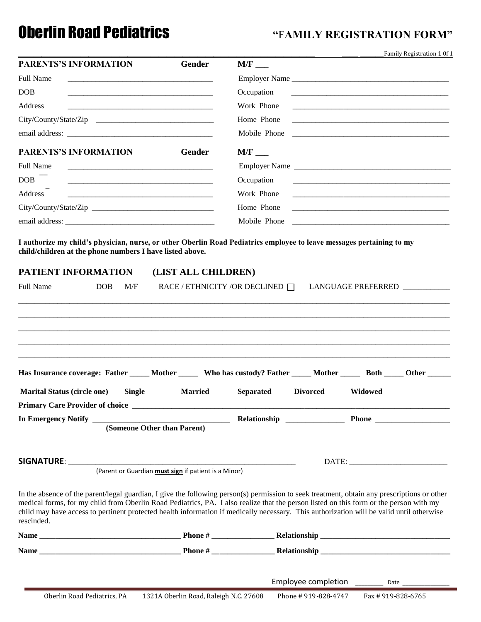## **Oberlin Road Pediatrics "FAMILY REGISTRATION FORM"**

| Gender                                                                                                                                                                                                                                                                                                                                                                                                                            |
|-----------------------------------------------------------------------------------------------------------------------------------------------------------------------------------------------------------------------------------------------------------------------------------------------------------------------------------------------------------------------------------------------------------------------------------|
|                                                                                                                                                                                                                                                                                                                                                                                                                                   |
| Occupation<br><u> 1980 - Jan Barnett, fransk kongresu og den forske forske forske forske forske forske forske forske forske for</u>                                                                                                                                                                                                                                                                                               |
| Work Phone<br><u> 1980 - Jan James James Barnett, fransk politik (d. 1980)</u>                                                                                                                                                                                                                                                                                                                                                    |
| City/County/State/Zip<br>Home Phone                                                                                                                                                                                                                                                                                                                                                                                               |
| Mobile Phone                                                                                                                                                                                                                                                                                                                                                                                                                      |
| Gender                                                                                                                                                                                                                                                                                                                                                                                                                            |
| Employer Name                                                                                                                                                                                                                                                                                                                                                                                                                     |
| Occupation<br><u> 1980 - Johann Barbara, martxa alemaniar argumento de la contrada de la contrada de la contrada de la contrad</u>                                                                                                                                                                                                                                                                                                |
| Work Phone<br><u> 1980 - Johann John Stein, mars an deutscher Stein († 1950)</u>                                                                                                                                                                                                                                                                                                                                                  |
| Home Phone                                                                                                                                                                                                                                                                                                                                                                                                                        |
| Mobile Phone<br><u> 1980 - Johann Stein, mars and de Brasilian (b. 1980)</u>                                                                                                                                                                                                                                                                                                                                                      |
| RACE / ETHNICITY /OR DECLINED $\Box$<br>LANGUAGE PREFERRED                                                                                                                                                                                                                                                                                                                                                                        |
| Has Insurance coverage: Father _____ Mother ______ Who has custody? Father _____ Mother _____ Both _____ Other _____<br><b>Married</b><br><b>Separated</b><br><b>Divorced</b><br>Widowed                                                                                                                                                                                                                                          |
|                                                                                                                                                                                                                                                                                                                                                                                                                                   |
| (Someone Other than Parent)                                                                                                                                                                                                                                                                                                                                                                                                       |
| DATE:<br>(Parent or Guardian <i>must sign</i> if patient is a Minor)                                                                                                                                                                                                                                                                                                                                                              |
| In the absence of the parent/legal guardian, I give the following person(s) permission to seek treatment, obtain any prescriptions or other<br>medical forms, for my child from Oberlin Road Pediatrics, PA. I also realize that the person listed on this form or the person with my<br>child may have access to pertinent protected health information if medically necessary. This authorization will be valid until otherwise |
|                                                                                                                                                                                                                                                                                                                                                                                                                                   |
|                                                                                                                                                                                                                                                                                                                                                                                                                                   |
|                                                                                                                                                                                                                                                                                                                                                                                                                                   |
|                                                                                                                                                                                                                                                                                                                                                                                                                                   |
| I authorize my child's physician, nurse, or other Oberlin Road Pediatrics employee to leave messages pertaining to my<br>child/children at the phone numbers I have listed above.<br>(LIST ALL CHILDREN)                                                                                                                                                                                                                          |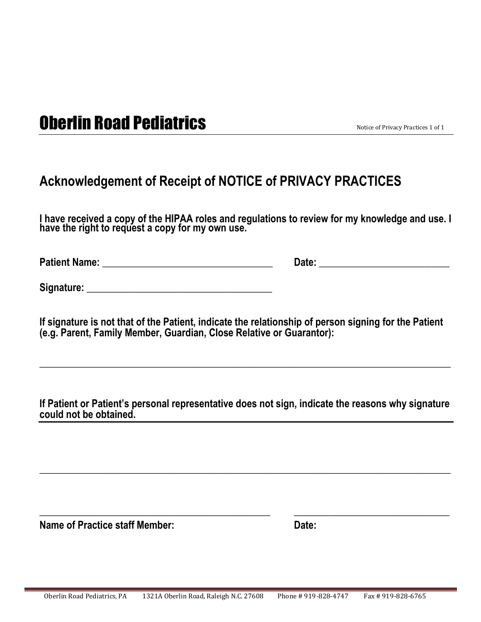## **Oberlin Road Pediatrics** Notice of Privacy Practices 1 of 1

### **Acknowledgement of Receipt of NOTICE of PRIVACY PRACTICES**

**I have received a copy of the HIPAA roles and regulations to review for my knowledge and use. I have the right to request a copy for my own use.**

**Patient Name: \_\_\_\_\_\_\_\_\_\_\_\_\_\_\_\_\_\_\_\_\_\_\_\_\_\_\_\_\_\_\_\_\_\_ Date: \_\_\_\_\_\_\_\_\_\_\_\_\_\_\_\_\_\_\_\_\_\_\_\_\_\_**

**Signature: \_\_\_\_\_\_\_\_\_\_\_\_\_\_\_\_\_\_\_\_\_\_\_\_\_\_\_\_\_\_\_\_\_\_\_\_\_**

**If signature is not that of the Patient, indicate the relationship of person signing for the Patient (e.g. Parent, Family Member, Guardian, Close Relative or Guarantor):**

**If Patient or Patient's personal representative does not sign, indicate the reasons why signature could not be obtained.**

**\_\_\_\_\_\_\_\_\_\_\_\_\_\_\_\_\_\_\_\_\_\_\_\_\_\_\_\_\_\_\_\_\_\_\_\_\_\_\_\_\_\_\_\_\_\_\_\_\_\_\_\_\_\_\_\_\_\_\_\_\_\_\_\_\_\_\_\_\_\_\_\_\_\_\_\_\_\_\_\_\_\_**

**\_\_\_\_\_\_\_\_\_\_\_\_\_\_\_\_\_\_\_\_\_\_\_\_\_\_\_\_\_\_\_\_\_\_\_\_\_\_\_\_\_\_\_\_\_\_ \_\_\_\_\_\_\_\_\_\_\_\_\_\_\_\_\_\_\_\_\_\_\_\_\_\_\_\_\_\_\_**

 $\_$  , and the set of the set of the set of the set of the set of the set of the set of the set of the set of the set of the set of the set of the set of the set of the set of the set of the set of the set of the set of th

**Name of Practice staff Member:** Date: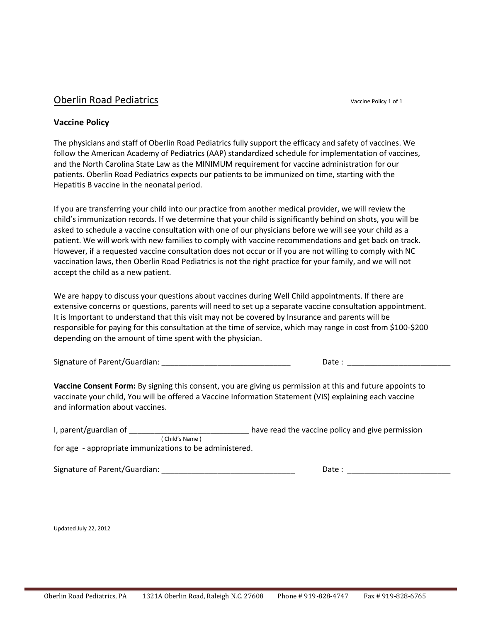#### **Oberlin Road Pediatrics** Vaccine Policy 1 of 1

#### **Vaccine Policy**

The physicians and staff of Oberlin Road Pediatrics fully support the efficacy and safety of vaccines. We follow the American Academy of Pediatrics (AAP) standardized schedule for implementation of vaccines, and the North Carolina State Law as the MINIMUM requirement for vaccine administration for our patients. Oberlin Road Pediatrics expects our patients to be immunized on time, starting with the Hepatitis B vaccine in the neonatal period.

If you are transferring your child into our practice from another medical provider, we will review the child's immunization records. If we determine that your child is significantly behind on shots, you will be asked to schedule a vaccine consultation with one of our physicians before we will see your child as a patient. We will work with new families to comply with vaccine recommendations and get back on track. However, if a requested vaccine consultation does not occur or if you are not willing to comply with NC vaccination laws, then Oberlin Road Pediatrics is not the right practice for your family, and we will not accept the child as a new patient.

We are happy to discuss your questions about vaccines during Well Child appointments. If there are extensive concerns or questions, parents will need to set up a separate vaccine consultation appointment. It is Important to understand that this visit may not be covered by Insurance and parents will be responsible for paying for this consultation at the time of service, which may range in cost from \$100-\$200 depending on the amount of time spent with the physician.

Signature of Parent/Guardian: \_\_\_\_\_\_\_\_\_\_\_\_\_\_\_\_\_\_\_\_\_\_\_\_\_\_\_\_\_\_ Date : \_\_\_\_\_\_\_\_\_\_\_\_\_\_\_\_\_\_\_\_\_\_\_\_

**Vaccine Consent Form:** By signing this consent, you are giving us permission at this and future appoints to vaccinate your child, You will be offered a Vaccine Information Statement (VIS) explaining each vaccine and information about vaccines.

| I, parent/guardian of                                   | have read the vaccine policy and give permission |
|---------------------------------------------------------|--------------------------------------------------|
| ( Child's Name )                                        |                                                  |
| for age - appropriate immunizations to be administered. |                                                  |

Signature of Parent/Guardian: \_\_\_\_\_\_\_\_\_\_\_\_\_\_\_\_\_\_\_\_\_\_\_\_\_\_\_\_\_\_\_ Date : \_\_\_\_\_\_\_\_\_\_\_\_\_\_\_\_\_\_\_\_\_\_\_\_

Updated July 22, 2012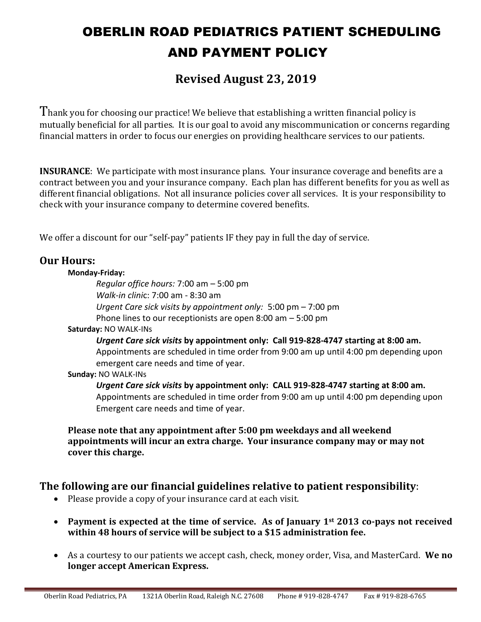## OBERLIN ROAD PEDIATRICS PATIENT SCHEDULING AND PAYMENT POLICY

### **Revised August 23, 2019**

Thank you for choosing our practice! We believe that establishing a written financial policy is mutually beneficial for all parties. It is our goal to avoid any miscommunication or concerns regarding financial matters in order to focus our energies on providing healthcare services to our patients.

**INSURANCE**: We participate with most insurance plans. Your insurance coverage and benefits are a contract between you and your insurance company. Each plan has different benefits for you as well as different financial obligations. Not all insurance policies cover all services. It is your responsibility to check with your insurance company to determine covered benefits.

We offer a discount for our "self-pay" patients IF they pay in full the day of service.

#### **Our Hours:**

#### **Monday-Friday:**

*Regular office hours:* 7:00 am – 5:00 pm *Walk-in clini*c: 7:00 am - 8:30 am *Urgent Care sick visits by appointment only:* 5:00 pm – 7:00 pm Phone lines to our receptionists are open 8:00 am – 5:00 pm

#### **Saturday:** NO WALK-INs

*Urgent Care sick visits* **by appointment only: Call 919-828-4747 starting at 8:00 am.**  Appointments are scheduled in time order from 9:00 am up until 4:00 pm depending upon emergent care needs and time of year.

#### **Sunday:** NO WALK-INs

*Urgent Care sick visits* **by appointment only: CALL 919-828-4747 starting at 8:00 am.** Appointments are scheduled in time order from 9:00 am up until 4:00 pm depending upon Emergent care needs and time of year.

**Please note that any appointment after 5:00 pm weekdays and all weekend appointments will incur an extra charge. Your insurance company may or may not cover this charge.** 

#### **The following are our financial guidelines relative to patient responsibility**:

- Please provide a copy of your insurance card at each visit.
- **Payment is expected at the time of service. As of January 1st 2013 co-pays not received within 48 hours of service will be subject to a \$15 administration fee.**
- As a courtesy to our patients we accept cash, check, money order, Visa, and MasterCard. **We no longer accept American Express.**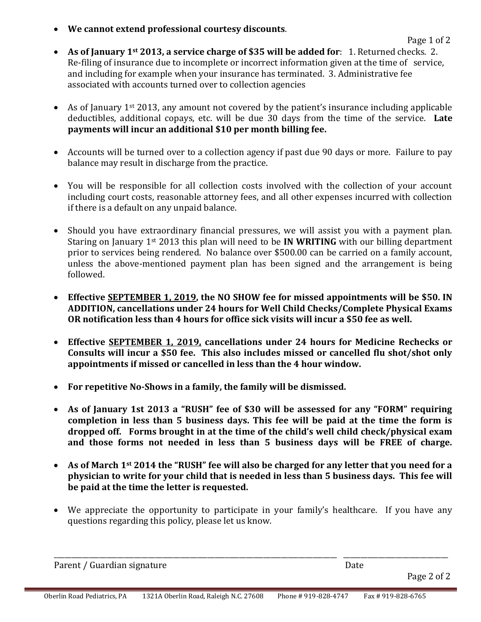• **We cannot extend professional courtesy discounts**.

- **As of January 1st 2013, a service charge of \$35 will be added for**: 1. Returned checks. 2. Re-filing of insurance due to incomplete or incorrect information given at the time of service, and including for example when your insurance has terminated. 3. Administrative fee associated with accounts turned over to collection agencies
- As of January  $1^{st}$  2013, any amount not covered by the patient's insurance including applicable deductibles, additional copays, etc. will be due 30 days from the time of the service. **Late payments will incur an additional \$10 per month billing fee.**
- Accounts will be turned over to a collection agency if past due 90 days or more. Failure to pay balance may result in discharge from the practice.
- You will be responsible for all collection costs involved with the collection of your account including court costs, reasonable attorney fees, and all other expenses incurred with collection if there is a default on any unpaid balance.
- Should you have extraordinary financial pressures, we will assist you with a payment plan. Staring on January 1st 2013 this plan will need to be **IN WRITING** with our billing department prior to services being rendered. No balance over \$500.00 can be carried on a family account, unless the above-mentioned payment plan has been signed and the arrangement is being followed.
- **Effective SEPTEMBER 1, 2019, the NO SHOW fee for missed appointments will be \$50. IN ADDITION, cancellations under 24 hours for Well Child Checks/Complete Physical Exams OR notification less than 4 hours for office sick visits will incur a \$50 fee as well.**
- **Effective SEPTEMBER 1, 2019, cancellations under 24 hours for Medicine Rechecks or Consults will incur a \$50 fee. This also includes missed or cancelled flu shot/shot only appointments if missed or cancelled in less than the 4 hour window.**
- **For repetitive No-Shows in a family, the family will be dismissed.**
- **As of January 1st 2013 a "RUSH" fee of \$30 will be assessed for any "FORM" requiring completion in less than 5 business days. This fee will be paid at the time the form is dropped off. Forms brought in at the time of the child's well child check/physical exam and those forms not needed in less than 5 business days will be FREE of charge.**
- **As of March 1st 2014 the "RUSH" fee will also be charged for any letter that you need for a physician to write for your child that is needed in less than 5 business days. This fee will be paid at the time the letter is requested.**
- We appreciate the opportunity to participate in your family's healthcare. If you have any questions regarding this policy, please let us know.

| Parent / Guardian signature | Date        |
|-----------------------------|-------------|
|                             | Page 2 of 2 |